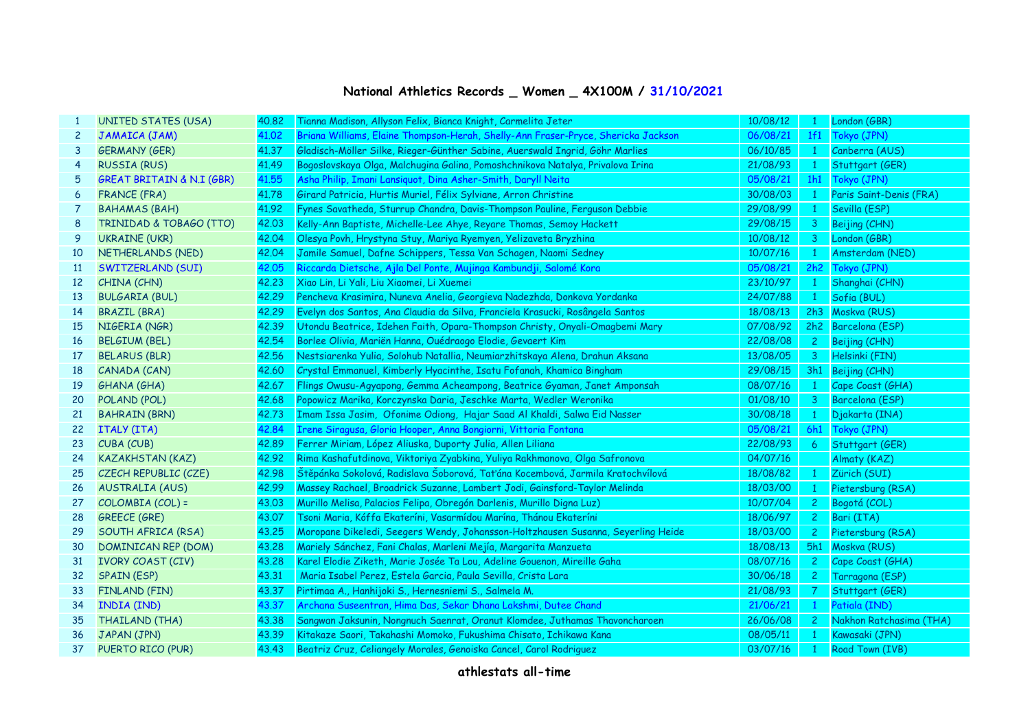## **National Athletics Records \_ Women \_ 4X100M / 31/10/2021**

|                 | <b>UNITED STATES (USA)</b>           | 40,82 | Tianna Madison, Allyson Felix, Bianca Knight, Carmelita Jeter                     | 10/08/12 | $\mathbf{1}$   | London (GBR)            |
|-----------------|--------------------------------------|-------|-----------------------------------------------------------------------------------|----------|----------------|-------------------------|
| $\mathbf{2}$    | JAMAICA (JAM)                        | 41.02 | Briana Williams, Elaine Thompson-Herah, Shelly-Ann Fraser-Pryce, Shericka Jackson | 06/08/21 | 1f1            | Tokyo (JPN)             |
| 3               | <b>GERMANY (GER)</b>                 | 41.37 | Gladisch-Möller Silke, Rieger-Günther Sabine, Auerswald Ingrid, Göhr Marlies      | 06/10/85 | $\mathbf{1}$   | Canberra (AUS)          |
| 4               | <b>RUSSIA (RUS)</b>                  | 41.49 | Bogoslovskaya Olga, Malchugina Galina, Pomoshchnikova Natalya, Privalova Irina    | 21/08/93 | $\mathbf{1}$   | Stuttgart (GER)         |
| 5               | <b>GREAT BRITAIN &amp; N.I (GBR)</b> | 41,55 | Asha Philip, Imani Lansiquot, Dina Asher-Smith, Daryll Neita                      | 05/08/21 | 1h1            | Tokyo (JPN)             |
| 6               | <b>FRANCE (FRA)</b>                  | 41.78 | Girard Patricia, Hurtis Muriel, Félix Sylviane, Arron Christine                   | 30/08/03 | $\mathbf{1}$   | Paris Saint-Denis (FRA) |
| 7               | <b>BAHAMAS (BAH)</b>                 | 41.92 | Fynes Savatheda, Sturrup Chandra, Davis-Thompson Pauline, Ferguson Debbie         | 29/08/99 | 1              | Sevilla (ESP)           |
| 8               | TRINIDAD & TOBAGO (TTO)              | 42,03 | Kelly-Ann Baptiste, Michelle-Lee Ahye, Reyare Thomas, Semoy Hackett               | 29/08/15 | 3 <sup>7</sup> | Beijing (CHN)           |
| 9               | <b>UKRAINE (UKR)</b>                 | 42.04 | Olesya Povh, Hrystyna Stuy, Mariya Ryemyen, Yelizaveta Bryzhina                   | 10/08/12 | 3.             | London (GBR)            |
| 10              | NETHERLANDS (NED)                    | 42.04 | Jamile Samuel, Dafne Schippers, Tessa Van Schagen, Naomi Sedney                   | 10/07/16 | $\mathbf{1}$   | Amsterdam (NED)         |
| 11              | SWITZERLAND (SUI)                    | 42.05 | Riccarda Dietsche, Ajla Del Ponte, Mujinga Kambundji, Salomé Kora                 | 05/08/21 | 2h2            | Tokyo (JPN)             |
| 12 <sup>2</sup> | CHINA (CHN)                          | 42.23 | Xiao Lin, Li Yali, Liu Xiaomei, Li Xuemei                                         | 23/10/97 | $\mathbf{1}$   | Shanghai (CHN)          |
| 13              | <b>BULGARIA (BUL)</b>                | 42.29 | Pencheva Krasimira, Nuneva Anelia, Georgieva Nadezhda, Donkova Yordanka           | 24/07/88 | 1              | Sofia (BUL)             |
| 14              | <b>BRAZIL (BRA)</b>                  | 42.29 | Evelyn dos Santos, Ana Claudia da Silva, Franciela Krasucki, Rosângela Santos     | 18/08/13 | 2h3            | Moskva (RUS)            |
| 15              | NIGERIA (NGR)                        | 42.39 | Utondu Beatrice, Idehen Faith, Opara-Thompson Christy, Onyali-Omagbemi Mary       | 07/08/92 |                | 2h2 Barcelona (ESP)     |
| 16              | <b>BELGIUM (BEL)</b>                 | 42.54 | Borlee Olivia, Mariën Hanna, Ouédraogo Elodie, Gevaert Kim                        | 22/08/08 |                | 2 Beijing (CHN)         |
| 17              | <b>BELARUS (BLR)</b>                 | 42.56 | Nestsiarenka Yulia, Solohub Natallia, Neumiarzhitskaya Alena, Drahun Aksana       | 13/08/05 |                | 3 Helsinki (FIN)        |
| 18              | CANADA (CAN)                         | 42,60 | Crystal Emmanuel, Kimberly Hyacinthe, Isatu Fofanah, Khamica Bingham              | 29/08/15 |                | 3h1 Beijing (CHN)       |
| 19              | GHANA (GHA)                          | 42.67 | Flings Owusu-Agyapong, Gemma Acheampong, Beatrice Gyaman, Janet Amponsah          | 08/07/16 | $\mathbf{1}$   | Cape Coast (GHA)        |
| 20              | POLAND (POL)                         | 42.68 | Popowicz Marika, Korczynska Daria, Jeschke Marta, Wedler Weronika                 | 01/08/10 |                | 3 Barcelona (ESP)       |
| 21              | <b>BAHRAIN (BRN)</b>                 | 42.73 | Imam Issa Jasim, Ofonime Odiong, Hajar Saad Al Khaldi, Salwa Eid Nasser           | 30/08/18 | $\mathbf{1}$   | Djakarta (INA)          |
| 22              | ITALY (ITA)                          | 42.84 | Irene Siragusa, Gloria Hooper, Anna Bongiorni, Vittoria Fontana                   | 05/08/21 |                | 6h1 Tokyo (JPN)         |
| 23              | CUBA (CUB)                           | 42.89 | Ferrer Miriam, López Aliuska, Duporty Julia, Allen Liliana                        | 22/08/93 | 6 <sup>1</sup> | Stuttgart (GER)         |
| 24              | <b>KAZAKHSTAN (KAZ)</b>              | 42.92 | Rima Kashafutdinova, Viktoriya Zyabkina, Yuliya Rakhmanova, Olga Safronova        | 04/07/16 |                | Almaty (KAZ)            |
| 25              | CZECH REPUBLIC (CZE)                 | 42.98 | Štěpánka Sokolová, Radislava Šoborová, Taťána Kocembová, Jarmila Kratochvílová    | 18/08/82 | $\mathbf{1}$   | Zürich (SUI)            |
| 26              | <b>AUSTRALIA (AUS)</b>               | 42.99 | Massey Rachael, Broadrick Suzanne, Lambert Jodi, Gainsford-Taylor Melinda         | 18/03/00 | $\mathbf{1}$   | Pietersburg (RSA)       |
| 27              | COLOMBIA (COL) =                     | 43,03 | Murillo Melisa, Palacios Felipa, Obregón Darlenis, Murillo Digna Luz)             | 10/07/04 |                | 2 Bogotá (COL)          |
| 28              | <b>GREECE (GRE)</b>                  | 43.07 | Tsoni Maria, Kóffa Ekateríni, Vasarmídou Marína, Thánou Ekateríni                 | 18/06/97 |                | 2 Bari (ITA)            |
| 29              | SOUTH AFRICA (RSA)                   | 43,25 | Moropane Dikeledi, Seegers Wendy, Johansson-Holtzhausen Susanna, Seyerling Heide  | 18/03/00 | $2^{\circ}$    | Pietersburg (RSA)       |
| 30              | DOMINICAN REP (DOM)                  | 43.28 | Mariely Sánchez, Fani Chalas, Marleni Mejía, Margarita Manzueta                   | 18/08/13 |                | 5h1 Moskva (RUS)        |
| 31              | <b>IVORY COAST (CIV)</b>             | 43,28 | Karel Elodie Ziketh, Marie Josée Ta Lou, Adeline Gouenon, Mireille Gaha           | 08/07/16 | $2^{\circ}$    | Cape Coast (GHA)        |
| 32              | <b>SPAIN (ESP)</b>                   | 43.31 | Maria Isabel Perez, Estela Garcia, Paula Sevilla, Crista Lara                     | 30/06/18 | $2^{\circ}$    | Tarragona (ESP)         |
| 33              | FINLAND (FIN)                        | 43.37 | Pirtimaa A., Hanhijoki S., Hernesniemi S., Salmela M.                             | 21/08/93 | 7 <sup>7</sup> | Stuttgart (GER)         |
| 34              | INDIA (IND)                          | 43.37 | Archana Suseentran, Hima Das, Sekar Dhana Lakshmi, Dutee Chand                    | 21/06/21 | $\mathbf{1}$   | Patiala (IND)           |
| 35              | <b>THAILAND (THA)</b>                | 43.38 | Sangwan Jaksunin, Nongnuch Saenrat, Oranut Klomdee, Juthamas Thavoncharoen        | 26/06/08 | $2^{\circ}$    | Nakhon Ratchasima (THA) |
| 36              | JAPAN (JPN)                          | 43.39 | Kitakaze Saori, Takahashi Momoko, Fukushima Chisato, Ichikawa Kana                | 08/05/11 | $\mathbf{1}$   | Kawasaki (JPN)          |
| 37              | PUERTO RICO (PUR)                    | 43.43 | Beatriz Cruz, Celiangely Morales, Genoiska Cancel, Carol Rodriguez                | 03/07/16 | $\mathbf{1}$   | Road Town (IVB)         |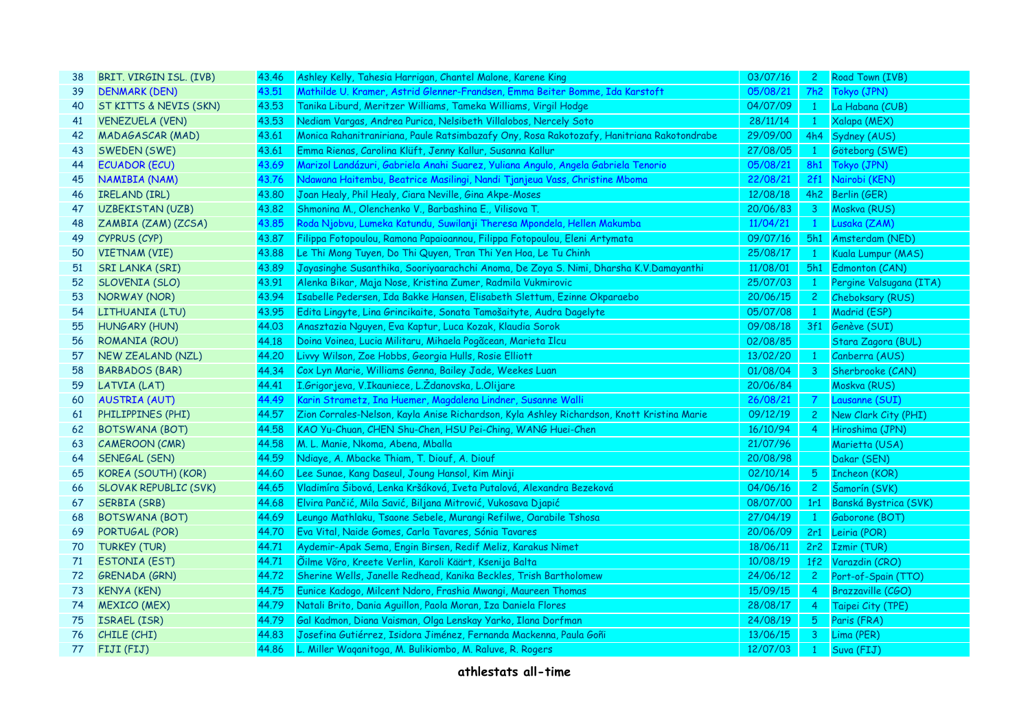| 38 | BRIT. VIRGIN ISL. (IVB) | 43.46 | Ashley Kelly, Tahesia Harrigan, Chantel Malone, Karene King                                | 03/07/16 | $\mathsf{2}^-$ | Road Town (IVB)           |
|----|-------------------------|-------|--------------------------------------------------------------------------------------------|----------|----------------|---------------------------|
| 39 | <b>DENMARK (DEN)</b>    | 43.51 | Mathilde U. Kramer, Astrid Glenner-Frandsen, Emma Beiter Bomme, Ida Karstoft               | 05/08/21 |                | 7h2 Tokyo (JPN)           |
| 40 | ST KITTS & NEVIS (SKN)  | 43.53 | Tanika Liburd, Meritzer Williams, Tameka Williams, Virgil Hodge                            | 04/07/09 | $\mathbf{1}$   | La Habana (CUB)           |
| 41 | <b>VENEZUELA (VEN)</b>  | 43.53 | Nediam Vargas, Andrea Purica, Nelsibeth Villalobos, Nercely Soto                           | 28/11/14 | $\mathbf{1}$   | Xalapa (MEX)              |
| 42 | <b>MADAGASCAR (MAD)</b> | 43.61 | Monica Rahanitraniriana, Paule Ratsimbazafy Ony, Rosa Rakotozafy, Hanitriana Rakotondrabe  | 29/09/00 |                | 4h4 Sydney (AUS)          |
| 43 | SWEDEN (SWE)            | 43.61 | Emma Rienas, Carolina Klüft, Jenny Kallur, Susanna Kallur                                  | 27/08/05 |                | Göteborg (SWE)            |
| 44 | <b>ECUADOR (ECU)</b>    | 43.69 | Marizol Landázuri, Gabriela Anahi Suarez, Yuliana Angulo, Angela Gabriela Tenorio          | 05/08/21 |                | 8h1 Tokyo (JPN)           |
| 45 | NAMIBIA (NAM)           | 43.76 | Ndawana Haitembu, Beatrice Masilingi, Nandi Tjanjeua Vass, Christine Mboma                 | 22/08/21 |                | 2f1 Nairobi (KEN)         |
| 46 | <b>IRELAND (IRL)</b>    | 43.80 | Joan Healy, Phil Healy, Ciara Neville, Gina Akpe-Moses                                     | 12/08/18 |                | 4h2 Berlin (GER)          |
| 47 | <b>UZBEKISTAN (UZB)</b> | 43,82 | Shmonina M., Olenchenko V., Barbashina E., Vilisova T.                                     | 20/06/83 | 3 <sup>7</sup> | Moskva (RUS)              |
| 48 | ZAMBIA (ZAM) (ZCSA)     | 43.85 | Roda Njobvu, Lumeka Katundu, Suwilanji Theresa Mpondela, Hellen Makumba                    | 11/04/21 | $\mathbf{1}$   | Lusaka (ZAM)              |
| 49 | CYPRUS (CYP)            | 43,87 | Filippa Fotopoulou, Ramona Papaioannou, Filippa Fotopoulou, Eleni Artymata                 | 09/07/16 |                | 5h1 Amsterdam (NED)       |
| 50 | <b>VIETNAM (VIE)</b>    | 43.88 | Le Thi Mong Tuyen, Do Thi Quyen, Tran Thi Yen Hoa, Le Tu Chinh                             | 25/08/17 |                | Kuala Lumpur (MAS)        |
| 51 | <b>SRI LANKA (SRI)</b>  | 43.89 | Jayasinghe Susanthika, Sooriyaarachchi Anoma, De Zoya S. Nimi, Dharsha K.V.Damayanthi      | 11/08/01 |                | 5h1 Edmonton (CAN)        |
| 52 | SLOVENIA (SLO)          | 43.91 | Alenka Bikar, Maja Nose, Kristina Zumer, Radmila Vukmirovic                                | 25/07/03 | $\mathbf{1}$   | Pergine Valsugana (ITA)   |
| 53 | NORWAY (NOR)            | 43.94 | Isabelle Pedersen, Ida Bakke Hansen, Elisabeth Slettum, Ezinne Okparaebo                   | 20/06/15 | $2^{\circ}$    | Cheboksary (RUS)          |
| 54 | LITHUANIA (LTU)         | 43.95 | Edita Lingyte, Lina Grincikaite, Sonata Tamošaityte, Audra Dagelyte                        | 05/07/08 | $\mathbf{1}$   | Madrid (ESP)              |
| 55 | <b>HUNGARY (HUN)</b>    | 44.03 | Anasztazia Nguyen, Eva Kaptur, Luca Kozak, Klaudia Sorok                                   | 09/08/18 |                | 3f1 Genève (SUI)          |
| 56 | ROMANIA (ROU)           | 44.18 | Doina Voinea, Lucia Militaru, Mihaela Pogãcean, Marieta Ilcu                               | 02/08/85 |                | Stara Zagora (BUL)        |
| 57 | NEW ZEALAND (NZL)       | 44.20 | Livvy Wilson, Zoe Hobbs, Georgia Hulls, Rosie Elliott                                      | 13/02/20 | $\mathbf{1}$   | Canberra (AUS)            |
| 58 | BARBADOS (BAR)          | 44.34 | Cox Lyn Marie, Williams Genna, Bailey Jade, Weekes Luan                                    | 01/08/04 | $\mathbf{3}$   | Sherbrooke (CAN)          |
| 59 | LATVIA (LAT)            | 44.41 | I.Grigorjeva, V.Ikauniece, L.Ždanovska, L.Olijare                                          | 20/06/84 |                | Moskva (RUS)              |
| 60 | <b>AUSTRIA (AUT)</b>    | 44.49 | Karin Strametz, Ina Huemer, Magdalena Lindner, Susanne Walli                               | 26/08/21 | $\overline{7}$ | Lausanne (SUI)            |
| 61 | PHILIPPINES (PHI)       | 44.57 | Zion Corrales-Nelson, Kayla Anise Richardson, Kyla Ashley Richardson, Knott Kristina Marie | 09/12/19 |                | 2 New Clark City (PHI)    |
| 62 | BOTSWANA (BOT)          | 44.58 | KAO Yu-Chuan, CHEN Shu-Chen, HSU Pei-Ching, WANG Huei-Chen                                 | 16/10/94 | 4 <sup>1</sup> | Hiroshima (JPN)           |
| 63 | CAMEROON (CMR)          | 44.58 | M. L. Manie, Nkoma, Abena, Mballa                                                          | 21/07/96 |                | Marietta (USA)            |
| 64 | SENEGAL (SEN)           | 44.59 | Ndiaye, A. Mbacke Thiam, T. Diouf, A. Diouf                                                | 20/08/98 |                | Dakar (SEN)               |
| 65 | KOREA (SOUTH) (KOR)     | 44.60 | Lee Sunae, Kang Daseul, Joung Hansol, Kim Minji                                            | 02/10/14 | 5 <sub>1</sub> | <b>Incheon (KOR)</b>      |
| 66 | SLOVAK REPUBLIC (SVK)   | 44.65 | Vladimíra Šibová, Lenka Kršáková, Iveta Putalová, Alexandra Bezeková                       | 04/06/16 | $2^{\circ}$    | Šamorín (SVK)             |
| 67 | <b>SERBIA (SRB)</b>     | 44.68 | Elvira Pančić, Mila Savić, Biljana Mitrović, Vukosava Djapić                               | 08/07/00 |                | 1r1 Banská Bystrica (SVK) |
| 68 | <b>BOTSWANA (BOT)</b>   | 44.69 | Leungo Mathlaku, Tsaone Sebele, Murangi Refilwe, Oarabile Tshosa                           | 27/04/19 | $\mathbf{1}$   | Gaborone (BOT)            |
| 69 | PORTUGAL (POR)          | 44.70 | Eva Vital, Naide Gomes, Carla Tavares, Sónia Tavares                                       | 20/06/09 |                | 2r1 Leiria (POR)          |
| 70 | <b>TURKEY (TUR)</b>     | 44.71 | Aydemir-Apak Sema, Engin Birsen, Redif Meliz, Karakus Nimet                                | 18/06/11 |                | 2r2 Izmir (TUR)           |
| 71 | <b>ESTONIA (EST)</b>    | 44.71 | Õilme Võro, Kreete Verlin, Karoli Käärt, Ksenija Balta                                     | 10/08/19 |                | 1f2 Varazdin (CRO)        |
| 72 | <b>GRENADA (GRN)</b>    | 44.72 | Sherine Wells, Janelle Redhead, Kanika Beckles, Trish Bartholomew                          | 24/06/12 |                | 2 Port-of-Spain (TTO)     |
| 73 | <b>KENYA (KEN)</b>      | 44.75 | Eunice Kadogo, Milcent Ndoro, Frashia Mwangi, Maureen Thomas                               | 15/09/15 | 4 <sup>1</sup> | <b>Brazzaville (CGO)</b>  |
| 74 | <b>MEXICO (MEX)</b>     | 44.79 | Natali Brito, Dania Aguillon, Paola Moran, Iza Daniela Flores                              | 28/08/17 | $\overline{4}$ | Taipei City (TPE)         |
| 75 | ISRAEL (ISR)            | 44.79 | Gal Kadmon, Diana Vaisman, Olga Lenskay Yarko, Ilana Dorfman                               | 24/08/19 | 5 <sup>1</sup> | Paris (FRA)               |
| 76 | CHILE (CHI)             | 44.83 | Josefina Gutiérrez, Isidora Jiménez, Fernanda Mackenna, Paula Goñi                         | 13/06/15 | 3 <sup>7</sup> | Lima (PER)                |
| 77 | FIJI (FIJ)              | 44.86 | L. Miller Waganitoga, M. Bulikiombo, M. Raluve, R. Rogers                                  | 12/07/03 |                | Suva (FIJ)                |